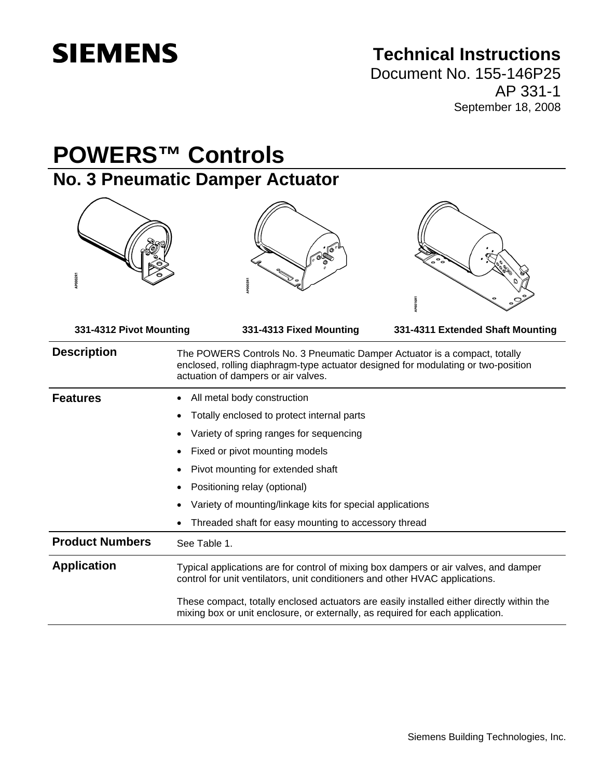# **SIEMENS**

## **Technical Instructions**

Document No. 155-146P25 AP 331-1 September 18, 2008

## **POWERS™ Controls No. 3 Pneumatic Damper Actuator 331-4312 Pivot Mounting 331-4313 Fixed Mounting 331-4311 Extended Shaft Mounting Description** The POWERS Controls No. 3 Pneumatic Damper Actuator is a compact, totally enclosed, rolling diaphragm-type actuator designed for modulating or two-position actuation of dampers or air valves. **Features** • All metal body construction • Totally enclosed to protect internal parts • Variety of spring ranges for sequencing Fixed or pivot mounting models • Pivot mounting for extended shaft • Positioning relay (optional) • Variety of mounting/linkage kits for special applications • Threaded shaft for easy mounting to accessory thread **Product Numbers** See Table 1. **Application** Typical applications are for control of mixing box dampers or air valves, and damper control for unit ventilators, unit conditioners and other HVAC applications. These compact, totally enclosed actuators are easily installed either directly within the mixing box or unit enclosure, or externally, as required for each application.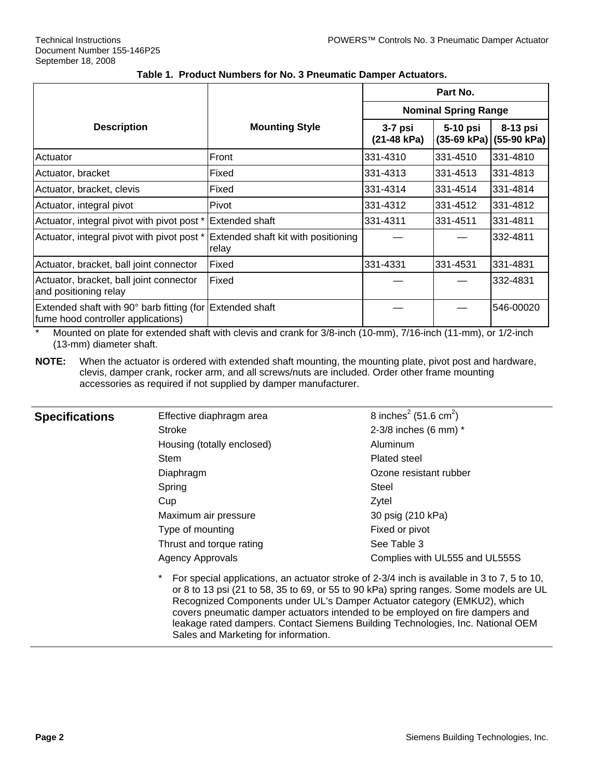|                                                                                                |                                              | Part No.                    |          |                                               |
|------------------------------------------------------------------------------------------------|----------------------------------------------|-----------------------------|----------|-----------------------------------------------|
|                                                                                                |                                              | <b>Nominal Spring Range</b> |          |                                               |
| <b>Description</b>                                                                             | <b>Mounting Style</b>                        | $3-7$ psi<br>(21-48 kPa)    | 5-10 psi | 8-13 psi<br>$(35-69 \text{ kPa})$ (55-90 kPa) |
| Actuator                                                                                       | Front                                        | 331-4310                    | 331-4510 | 331-4810                                      |
| Actuator, bracket                                                                              | Fixed                                        | 331-4313                    | 331-4513 | 1331-4813                                     |
| Actuator, bracket, clevis                                                                      | Fixed                                        | 331-4314                    | 331-4514 | 331-4814                                      |
| Actuator, integral pivot                                                                       | Pivot                                        | 331-4312                    | 331-4512 | 331-4812                                      |
| Actuator, integral pivot with pivot post *                                                     | Extended shaft                               | 331-4311                    | 331-4511 | 331-4811                                      |
| Actuator, integral pivot with pivot post *                                                     | Extended shaft kit with positioning<br>relay |                             |          | 332-4811                                      |
| Actuator, bracket, ball joint connector                                                        | Fixed                                        | 331-4331                    | 331-4531 | 331-4831                                      |
| Actuator, bracket, ball joint connector<br>and positioning relay                               | Fixed                                        |                             |          | 332-4831                                      |
| Extended shaft with 90° barb fitting (for Extended shaft<br>fume hood controller applications) |                                              |                             |          | 546-00020                                     |

#### **Table 1. Product Numbers for No. 3 Pneumatic Damper Actuators.**

\* Mounted on plate for extended shaft with clevis and crank for 3/8-inch (10-mm), 7/16-inch (11-mm), or 1/2-inch (13-mm) diameter shaft.

**NOTE:** When the actuator is ordered with extended shaft mounting, the mounting plate, pivot post and hardware, clevis, damper crank, rocker arm, and all screws/nuts are included. Order other frame mounting accessories as required if not supplied by damper manufacturer.

| <b>Specifications</b> | Effective diaphragm area                                                                                                                                                                                                                                                                                                                                                                                                                         | 8 inches <sup>2</sup> (51.6 cm <sup>2</sup> ) |  |  |
|-----------------------|--------------------------------------------------------------------------------------------------------------------------------------------------------------------------------------------------------------------------------------------------------------------------------------------------------------------------------------------------------------------------------------------------------------------------------------------------|-----------------------------------------------|--|--|
|                       | Stroke                                                                                                                                                                                                                                                                                                                                                                                                                                           | 2-3/8 inches (6 mm) *                         |  |  |
|                       | Housing (totally enclosed)                                                                                                                                                                                                                                                                                                                                                                                                                       | Aluminum                                      |  |  |
|                       | Stem                                                                                                                                                                                                                                                                                                                                                                                                                                             | Plated steel                                  |  |  |
|                       | Diaphragm                                                                                                                                                                                                                                                                                                                                                                                                                                        | Ozone resistant rubber                        |  |  |
|                       | Spring                                                                                                                                                                                                                                                                                                                                                                                                                                           | Steel                                         |  |  |
|                       | Cup                                                                                                                                                                                                                                                                                                                                                                                                                                              | Zytel                                         |  |  |
|                       | Maximum air pressure                                                                                                                                                                                                                                                                                                                                                                                                                             | 30 psig (210 kPa)                             |  |  |
|                       | Type of mounting                                                                                                                                                                                                                                                                                                                                                                                                                                 | Fixed or pivot                                |  |  |
|                       | Thrust and torque rating                                                                                                                                                                                                                                                                                                                                                                                                                         | See Table 3                                   |  |  |
|                       | <b>Agency Approvals</b>                                                                                                                                                                                                                                                                                                                                                                                                                          | Complies with UL555 and UL555S                |  |  |
|                       | $\star$<br>For special applications, an actuator stroke of 2-3/4 inch is available in 3 to 7, 5 to 10,<br>or 8 to 13 psi (21 to 58, 35 to 69, or 55 to 90 kPa) spring ranges. Some models are UL<br>Recognized Components under UL's Damper Actuator category (EMKU2), which<br>covers pneumatic damper actuators intended to be employed on fire dampers and<br>leakage rated dampers. Contact Siemens Building Technologies, Inc. National OEM |                                               |  |  |

Sales and Marketing for information.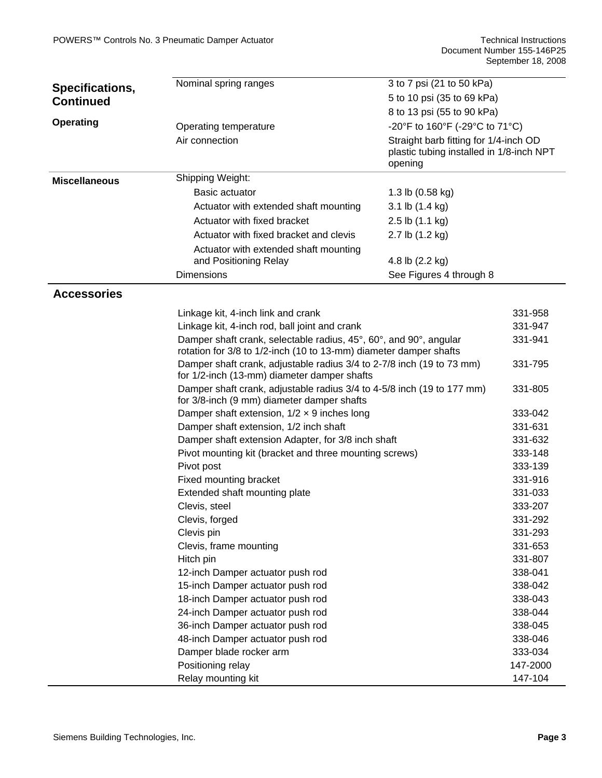| Specifications,      | 3 to 7 psi (21 to 50 kPa)<br>Nominal spring ranges                                                                                     |                                                                                              |          |  |  |
|----------------------|----------------------------------------------------------------------------------------------------------------------------------------|----------------------------------------------------------------------------------------------|----------|--|--|
| <b>Continued</b>     |                                                                                                                                        | 5 to 10 psi (35 to 69 kPa)                                                                   |          |  |  |
|                      |                                                                                                                                        | 8 to 13 psi (55 to 90 kPa)                                                                   |          |  |  |
| <b>Operating</b>     | Operating temperature                                                                                                                  | -20°F to 160°F (-29°C to 71°C)                                                               |          |  |  |
|                      | Air connection                                                                                                                         | Straight barb fitting for 1/4-inch OD<br>plastic tubing installed in 1/8-inch NPT<br>opening |          |  |  |
| <b>Miscellaneous</b> | Shipping Weight:                                                                                                                       |                                                                                              |          |  |  |
|                      | Basic actuator                                                                                                                         | 1.3 lb $(0.58$ kg)                                                                           |          |  |  |
|                      | Actuator with extended shaft mounting                                                                                                  | 3.1 lb (1.4 kg)                                                                              |          |  |  |
|                      | Actuator with fixed bracket                                                                                                            | 2.5 lb (1.1 kg)                                                                              |          |  |  |
|                      | Actuator with fixed bracket and clevis                                                                                                 | 2.7 lb (1.2 kg)                                                                              |          |  |  |
|                      | Actuator with extended shaft mounting<br>and Positioning Relay                                                                         | 4.8 lb (2.2 kg)                                                                              |          |  |  |
|                      | <b>Dimensions</b>                                                                                                                      | See Figures 4 through 8                                                                      |          |  |  |
|                      |                                                                                                                                        |                                                                                              |          |  |  |
| <b>Accessories</b>   |                                                                                                                                        |                                                                                              |          |  |  |
|                      | Linkage kit, 4-inch link and crank                                                                                                     |                                                                                              | 331-958  |  |  |
|                      | Linkage kit, 4-inch rod, ball joint and crank                                                                                          |                                                                                              | 331-947  |  |  |
|                      | Damper shaft crank, selectable radius, 45°, 60°, and 90°, angular<br>rotation for 3/8 to 1/2-inch (10 to 13-mm) diameter damper shafts |                                                                                              | 331-941  |  |  |
|                      | Damper shaft crank, adjustable radius 3/4 to 2-7/8 inch (19 to 73 mm)<br>for 1/2-inch (13-mm) diameter damper shafts                   |                                                                                              | 331-795  |  |  |
|                      | Damper shaft crank, adjustable radius 3/4 to 4-5/8 inch (19 to 177 mm)<br>for 3/8-inch (9 mm) diameter damper shafts                   |                                                                                              | 331-805  |  |  |
|                      | Damper shaft extension, $1/2 \times 9$ inches long                                                                                     |                                                                                              | 333-042  |  |  |
|                      | Damper shaft extension, 1/2 inch shaft                                                                                                 |                                                                                              | 331-631  |  |  |
|                      | Damper shaft extension Adapter, for 3/8 inch shaft                                                                                     |                                                                                              | 331-632  |  |  |
|                      | Pivot mounting kit (bracket and three mounting screws)                                                                                 |                                                                                              | 333-148  |  |  |
|                      | Pivot post                                                                                                                             |                                                                                              | 333-139  |  |  |
|                      | Fixed mounting bracket                                                                                                                 |                                                                                              | 331-916  |  |  |
|                      | Extended shaft mounting plate                                                                                                          |                                                                                              | 331-033  |  |  |
|                      | Clevis, steel                                                                                                                          |                                                                                              | 333-207  |  |  |
|                      | Clevis, forged                                                                                                                         |                                                                                              | 331-292  |  |  |
|                      | Clevis pin                                                                                                                             |                                                                                              | 331-293  |  |  |
|                      | Clevis, frame mounting                                                                                                                 |                                                                                              | 331-653  |  |  |
|                      | Hitch pin                                                                                                                              |                                                                                              | 331-807  |  |  |
|                      | 12-inch Damper actuator push rod                                                                                                       |                                                                                              | 338-041  |  |  |
|                      | 15-inch Damper actuator push rod                                                                                                       |                                                                                              | 338-042  |  |  |
|                      | 18-inch Damper actuator push rod                                                                                                       |                                                                                              | 338-043  |  |  |
|                      | 24-inch Damper actuator push rod                                                                                                       |                                                                                              | 338-044  |  |  |
|                      | 36-inch Damper actuator push rod                                                                                                       |                                                                                              | 338-045  |  |  |
|                      | 48-inch Damper actuator push rod                                                                                                       |                                                                                              | 338-046  |  |  |
|                      | Damper blade rocker arm                                                                                                                |                                                                                              | 333-034  |  |  |
|                      | Positioning relay                                                                                                                      |                                                                                              | 147-2000 |  |  |
|                      | Relay mounting kit                                                                                                                     |                                                                                              | 147-104  |  |  |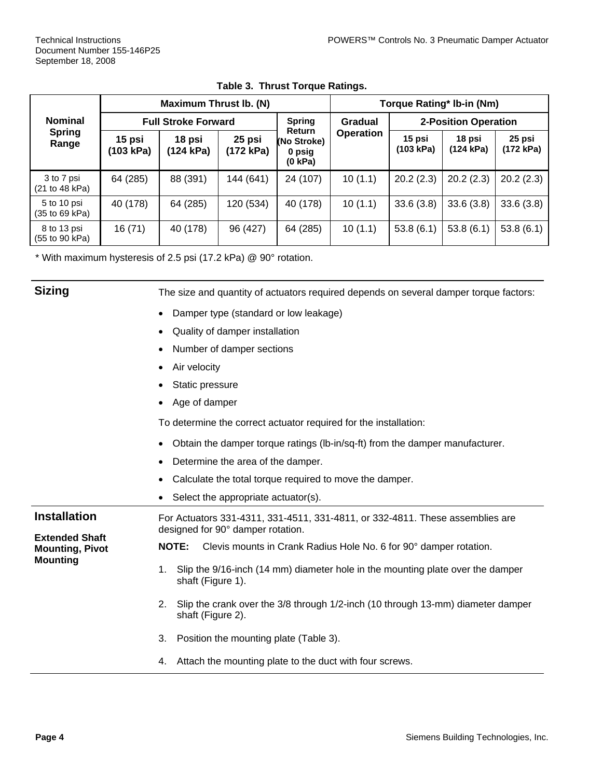|                                          | <b>Maximum Thrust Ib. (N)</b> |                     |                     | <b>Torque Rating* Ib-in (Nm)</b>                  |                      |                     |                     |                     |
|------------------------------------------|-------------------------------|---------------------|---------------------|---------------------------------------------------|----------------------|---------------------|---------------------|---------------------|
| <b>Nominal</b><br><b>Spring</b><br>Range | <b>Full Stroke Forward</b>    |                     | <b>Spring</b>       | Gradual                                           | 2-Position Operation |                     |                     |                     |
|                                          | 15 psi<br>(103 kPa)           | 18 psi<br>(124 kPa) | 25 psi<br>(172 kPa) | <b>Return</b><br>(No Stroke)<br>0 psig<br>(0 kPa) | <b>Operation</b>     | 15 psi<br>(103 kPa) | 18 psi<br>(124 kPa) | 25 psi<br>(172 kPa) |
| 3 to 7 psi<br>(21 to 48 kPa)             | 64 (285)                      | 88 (391)            | 144 (641)           | 24 (107)                                          | 10(1.1)              | 20.2(2.3)           | 20.2(2.3)           | 20.2(2.3)           |
| 5 to 10 psi<br>(35 to 69 kPa)            | 40 (178)                      | 64 (285)            | 120 (534)           | 40 (178)                                          | 10(1.1)              | 33.6(3.8)           | 33.6(3.8)           | 33.6(3.8)           |
| 8 to 13 psi<br>(55 to 90 kPa)            | 16 (71)                       | 40 (178)            | 96 (427)            | 64 (285)                                          | 10(1.1)              | 53.8(6.1)           | 53.8(6.1)           | 53.8(6.1)           |

**Table 3. Thrust Torque Ratings.** 

\* With maximum hysteresis of 2.5 psi (17.2 kPa) @ 90° rotation.

**Sizing** The size and quantity of actuators required depends on several damper torque factors:

- Damper type (standard or low leakage)
- Quality of damper installation
- Number of damper sections
- Air velocity
- Static pressure
- Age of damper

To determine the correct actuator required for the installation:

- Obtain the damper torque ratings (lb-in/sq-ft) from the damper manufacturer.
- Determine the area of the damper.
- Calculate the total torque required to move the damper.
- Select the appropriate actuator(s).

**Installation Extended Shaft Mounting, Pivot Mounting**  For Actuators 331-4311, 331-4511, 331-4811, or 332-4811. These assemblies are designed for 90° damper rotation. **NOTE:** Clevis mounts in Crank Radius Hole No. 6 for 90° damper rotation. 1. Slip the 9/16-inch (14 mm) diameter hole in the mounting plate over the damper shaft (Figure 1).

- 2. Slip the crank over the 3/8 through 1/2-inch (10 through 13-mm) diameter damper shaft (Figure 2).
- 3. Position the mounting plate (Table 3).
- 4. Attach the mounting plate to the duct with four screws.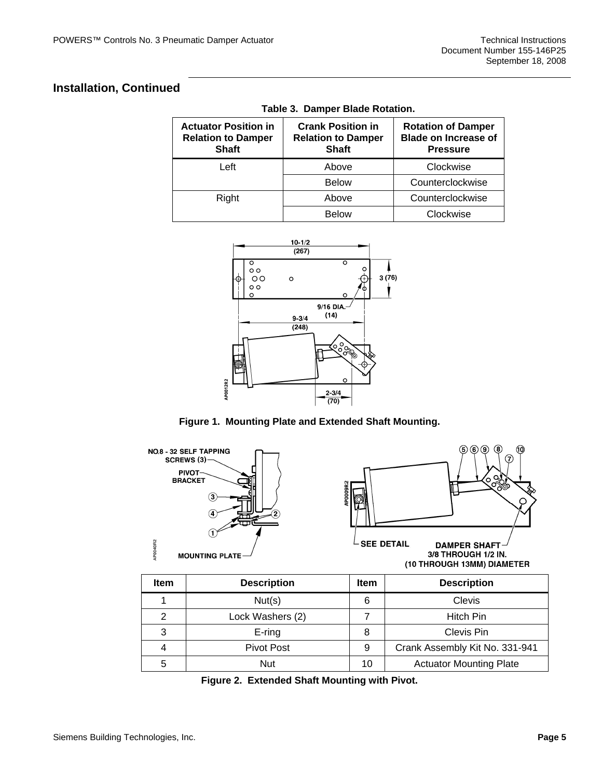## **Installation, Continued**

| <b>Actuator Position in</b><br><b>Relation to Damper</b><br><b>Shaft</b> | <b>Crank Position in</b><br><b>Relation to Damper</b><br><b>Shaft</b> | <b>Rotation of Damper</b><br><b>Blade on Increase of</b><br><b>Pressure</b> |
|--------------------------------------------------------------------------|-----------------------------------------------------------------------|-----------------------------------------------------------------------------|
| Left                                                                     | Above                                                                 | Clockwise                                                                   |
|                                                                          | <b>Below</b>                                                          | Counterclockwise                                                            |
| Right                                                                    | Above                                                                 | Counterclockwise                                                            |
|                                                                          | <b>Below</b>                                                          | Clockwise                                                                   |

**Table 3. Damper Blade Rotation.** 



**Figure 1. Mounting Plate and Extended Shaft Mounting.** 



| <b>Item</b>   | <b>Description</b> |    | <b>Description</b>             |
|---------------|--------------------|----|--------------------------------|
|               | Nut(s)             | 6  | Clevis                         |
| $\mathcal{P}$ | Lock Washers (2)   |    | <b>Hitch Pin</b>               |
| 3             | $E$ -ring          |    | Clevis Pin                     |
|               | Pivot Post         | 9  | Crank Assembly Kit No. 331-941 |
| 5             | Nut                | 10 | <b>Actuator Mounting Plate</b> |

**Figure 2. Extended Shaft Mounting with Pivot.**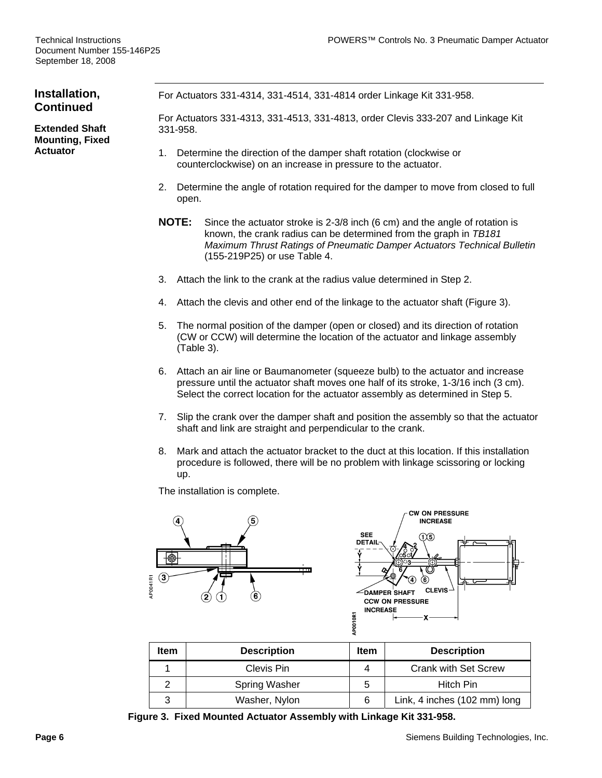#### **Installation, Continued**  For Actuators 331-4314, 331-4514, 331-4814 order Linkage Kit 331-958.

**Extended Shaft Mounting, Fixed Actuator** 

For Actuators 331-4313, 331-4513, 331-4813, order Clevis 333-207 and Linkage Kit 331-958.

- 1. Determine the direction of the damper shaft rotation (clockwise or counterclockwise) on an increase in pressure to the actuator.
- 2. Determine the angle of rotation required for the damper to move from closed to full open.
- **NOTE:** Since the actuator stroke is 2-3/8 inch (6 cm) and the angle of rotation is known, the crank radius can be determined from the graph in *TB181 Maximum Thrust Ratings of Pneumatic Damper Actuators Technical Bulletin* (155-219P25) or use Table 4.
- 3. Attach the link to the crank at the radius value determined in Step 2.
- 4. Attach the clevis and other end of the linkage to the actuator shaft (Figure 3).
- 5. The normal position of the damper (open or closed) and its direction of rotation (CW or CCW) will determine the location of the actuator and linkage assembly (Table 3).
- 6. Attach an air line or Baumanometer (squeeze bulb) to the actuator and increase pressure until the actuator shaft moves one half of its stroke, 1-3/16 inch (3 cm). Select the correct location for the actuator assembly as determined in Step 5.
- 7. Slip the crank over the damper shaft and position the assembly so that the actuator shaft and link are straight and perpendicular to the crank.
- 8. Mark and attach the actuator bracket to the duct at this location. If this installation procedure is followed, there will be no problem with linkage scissoring or locking up.

The installation is complete.



| <b>Item</b> | <b>Description</b> |   | <b>Description</b>           |
|-------------|--------------------|---|------------------------------|
|             | Clevis Pin         |   | <b>Crank with Set Screw</b>  |
|             | Spring Washer      | 5 | Hitch Pin                    |
| 3           | Washer, Nylon      | 6 | Link, 4 inches (102 mm) long |

**Figure 3. Fixed Mounted Actuator Assembly with Linkage Kit 331-958.**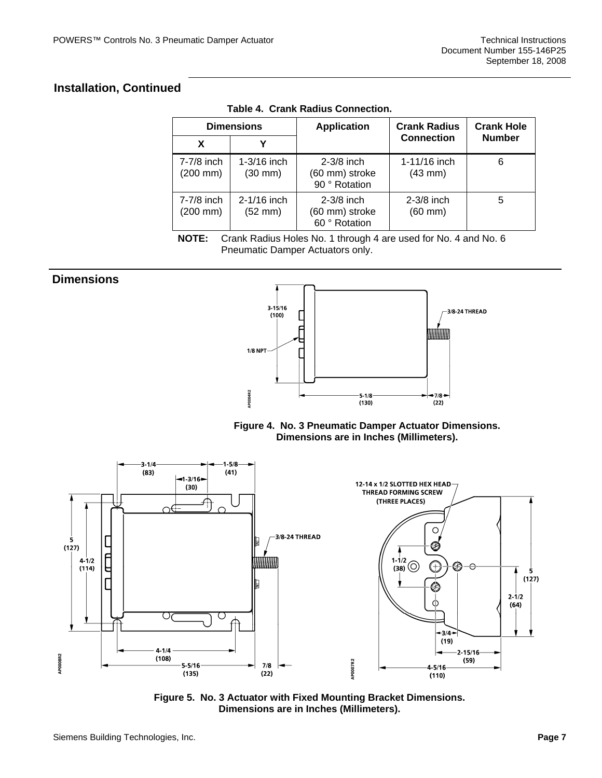## **Installation, Continued**

| <b>Dimensions</b>                  |                                      | <b>Application</b>                              | <b>Crank Radius</b>          | <b>Crank Hole</b> |  |
|------------------------------------|--------------------------------------|-------------------------------------------------|------------------------------|-------------------|--|
| X                                  | v                                    |                                                 | <b>Connection</b>            | <b>Number</b>     |  |
| 7-7/8 inch<br>$(200 \, \text{mm})$ | $1-3/16$ inch<br>$(30$ mm $)$        | $2-3/8$ inch<br>(60 mm) stroke<br>90 ° Rotation | 1-11/16 inch<br>$(43$ mm $)$ | 6                 |  |
| 7-7/8 inch<br>$(200 \, \text{mm})$ | $2 - 1/16$ inch<br>$(52 \text{ mm})$ | $2-3/8$ inch<br>(60 mm) stroke<br>60 ° Rotation | $2-3/8$ inch<br>$(60$ mm $)$ | 5                 |  |

**Table 4. Crank Radius Connection.** 

**NOTE:** Crank Radius Holes No. 1 through 4 are used for No. 4 and No. 6 Pneumatic Damper Actuators only.

### **Dimensions**   $3 - 15/16$ 3/8-24 THREAD  $(100)$ mmmm  $1/8$  NPT **APO004R2**  $-5 - 1/8$  $-7/8$  $(130)$  $(22)$

**Figure 4. No. 3 Pneumatic Damper Actuator Dimensions. Dimensions are in Inches (Millimeters).** 



**Figure 5. No. 3 Actuator with Fixed Mounting Bracket Dimensions. Dimensions are in Inches (Millimeters).**